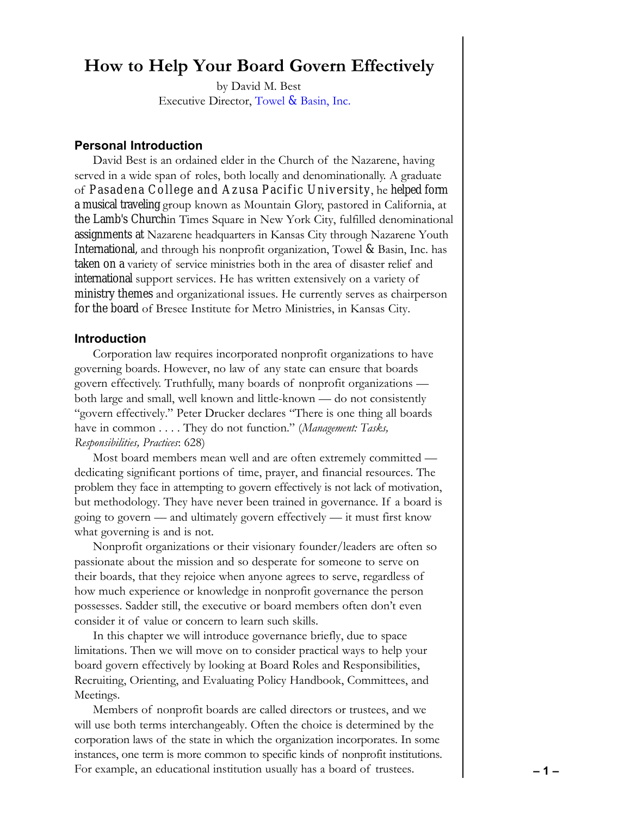# **How to Help Your Board Govern Effectively**

by David M. Best Executive Director, Towel & [Basin, Inc.](www.TowelandBasin.org)

# **Personal Introduction**

David Best is an ordained elder in the Church of the Nazarene, having served in a wide span of roles, both locally and denominationally. A graduate of Pasadena College and Azusa Pacific University , he helped form a musical traveling group known as Mountain Glory, pastored in California, at the Lamb's Churchin Times Square in New York City, fulfilled denominational assignments at Nazarene headquarters in Kansas City through Nazarene Youth International, and through his nonprofit organization, Towel & Basin, Inc. has taken on a variety of service ministries both in the area of disaster relief and international support services. He has written extensively on a variety of ministry themes and organizational issues. He currently serves as chairperson for the board of Bresee Institute for Metro Ministries, in Kansas City.

# **Introduction**

Corporation law requires incorporated nonprofit organizations to have governing boards. However, no law of any state can ensure that boards govern effectively. Truthfully, many boards of nonprofit organizations both large and small, well known and little-known — do not consistently "govern effectively." Peter Drucker declares "There is one thing all boards have in common . . . . They do not function." (*Management: Tasks, Responsibilities, Practices*: 628)

Most board members mean well and are often extremely committed dedicating significant portions of time, prayer, and financial resources. The problem they face in attempting to govern effectively is not lack of motivation, but methodology. They have never been trained in governance. If a board is going to govern — and ultimately govern effectively — it must first know what governing is and is not.

Nonprofit organizations or their visionary founder/leaders are often so passionate about the mission and so desperate for someone to serve on their boards, that they rejoice when anyone agrees to serve, regardless of how much experience or knowledge in nonprofit governance the person possesses. Sadder still, the executive or board members often don't even consider it of value or concern to learn such skills.

In this chapter we will introduce governance briefly, due to space limitations. Then we will move on to consider practical ways to help your board govern effectively by looking at Board Roles and Responsibilities, Recruiting, Orienting, and Evaluating Policy Handbook, Committees, and Meetings.

Members of nonprofit boards are called directors or trustees, and we will use both terms interchangeably. Often the choice is determined by the corporation laws of the state in which the organization incorporates. In some instances, one term is more common to specific kinds of nonprofit institutions. For example, an educational institution usually has a board of trustees. **– 1 –**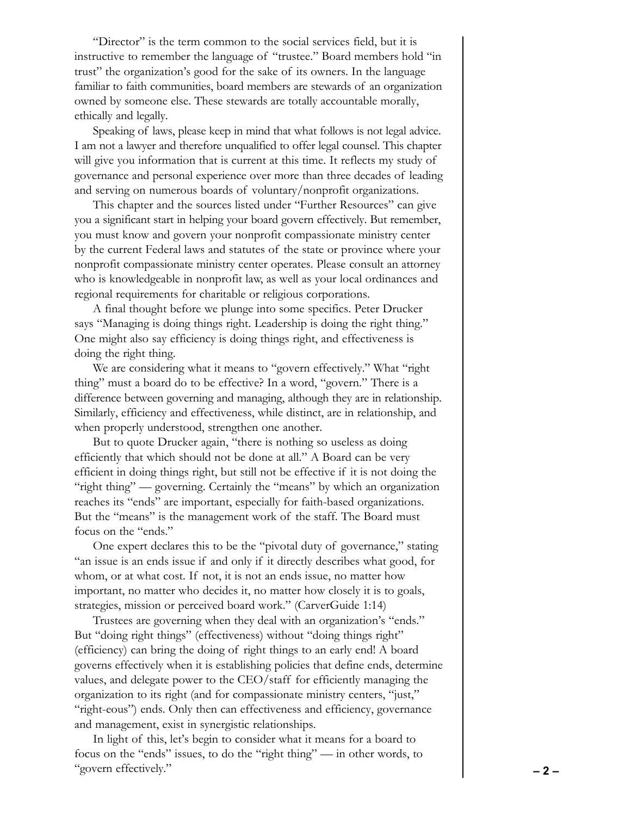"Director" is the term common to the social services field, but it is instructive to remember the language of "trustee." Board members hold "in trust" the organization's good for the sake of its owners. In the language familiar to faith communities, board members are stewards of an organization owned by someone else. These stewards are totally accountable morally, ethically and legally.

Speaking of laws, please keep in mind that what follows is not legal advice. I am not a lawyer and therefore unqualified to offer legal counsel. This chapter will give you information that is current at this time. It reflects my study of governance and personal experience over more than three decades of leading and serving on numerous boards of voluntary/nonprofit organizations.

This chapter and the sources listed under "Further Resources" can give you a significant start in helping your board govern effectively. But remember, you must know and govern your nonprofit compassionate ministry center by the current Federal laws and statutes of the state or province where your nonprofit compassionate ministry center operates. Please consult an attorney who is knowledgeable in nonprofit law, as well as your local ordinances and regional requirements for charitable or religious corporations.

A final thought before we plunge into some specifics. Peter Drucker says "Managing is doing things right. Leadership is doing the right thing." One might also say efficiency is doing things right, and effectiveness is doing the right thing.

We are considering what it means to "govern effectively." What "right" thing" must a board do to be effective? In a word, "govern." There is a difference between governing and managing, although they are in relationship. Similarly, efficiency and effectiveness, while distinct, are in relationship, and when properly understood, strengthen one another.

But to quote Drucker again, "there is nothing so useless as doing efficiently that which should not be done at all." A Board can be very efficient in doing things right, but still not be effective if it is not doing the "right thing" — governing. Certainly the "means" by which an organization reaches its "ends" are important, especially for faith-based organizations. But the "means" is the management work of the staff. The Board must focus on the "ends."

One expert declares this to be the "pivotal duty of governance," stating "an issue is an ends issue if and only if it directly describes what good, for whom, or at what cost. If not, it is not an ends issue, no matter how important, no matter who decides it, no matter how closely it is to goals, strategies, mission or perceived board work." (CarverGuide 1:14)

Trustees are governing when they deal with an organization's "ends." But "doing right things" (effectiveness) without "doing things right" (efficiency) can bring the doing of right things to an early end! A board governs effectively when it is establishing policies that define ends, determine values, and delegate power to the CEO/staff for efficiently managing the organization to its right (and for compassionate ministry centers, "just," "right-eous") ends. Only then can effectiveness and efficiency, governance and management, exist in synergistic relationships.

In light of this, let's begin to consider what it means for a board to focus on the "ends" issues, to do the "right thing" — in other words, to "govern effectively." **– 2 –**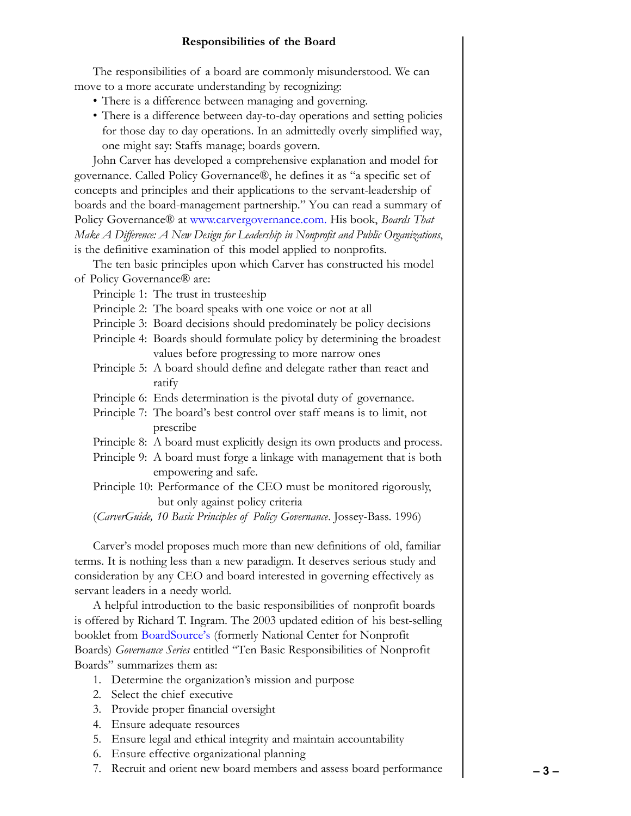# **Responsibilities of the Board**

<span id="page-2-0"></span>The responsibilities of a board are commonly misunderstood. We can move to a more accurate understanding by recognizing:

- There is a difference between managing and governing.
- There is a difference between day-to-day operations and setting policies for those day to day operations. In an admittedly overly simplified way, one might say: Staffs manage; boards govern.

John Carver has developed a comprehensive explanation and model for governance. Called Policy Governance®, he defines it as "a specific set of concepts and principles and their applications to the servant-leadership of boards and the board-management partnership." You can read a summary of Policy Governance® at [www.carvergovernance.com.](www.carvergovernance.com) His book, *Boards That Make A Difference: A New Design for Leadership in Nonprofit and Public Organizations*, is the definitive examination of this model applied to nonprofits.

The ten basic principles upon which Carver has constructed his model of Policy Governance® are:

Principle 1: The trust in trusteeship

Principle 2: The board speaks with one voice or not at all

- Principle 3: Board decisions should predominately be policy decisions
- Principle 4: Boards should formulate policy by determining the broadest values before progressing to more narrow ones
- Principle 5: A board should define and delegate rather than react and ratify
- Principle 6: Ends determination is the pivotal duty of governance.
- Principle 7: The board's best control over staff means is to limit, not prescribe
- Principle 8: A board must explicitly design its own products and process.
- Principle 9: A board must forge a linkage with management that is both empowering and safe.
- Principle 10: Performance of the CEO must be monitored rigorously, but only against policy criteria

(*CarverGuide, 10 Basic Principles of Policy Governance*. Jossey-Bass. 1996)

Carver's model proposes much more than new definitions of old, familiar terms. It is nothing less than a new paradigm. It deserves serious study and consideration by any CEO and board interested in governing effectively as servant leaders in a needy world.

A helpful introduction to the basic responsibilities of nonprofit boards is offered by Richard T. Ingram. The 2003 updated edition of his best-selling booklet from [BoardSource's](www.boardsource.org) (formerly National Center for Nonprofit Boards) *Governance Series* entitled "Ten Basic Responsibilities of Nonprofit Boards" summarizes them as:

- 1. Determine the organization's mission and purpose
- 2. Select the chief executive
- 3. Provide proper financial oversight
- 4. Ensure adequate resources
- 5. Ensure legal and ethical integrity and maintain accountability
- 6. Ensure effective organizational planning
- 7. Recruit and orient new board members and assess board performance  **3 –**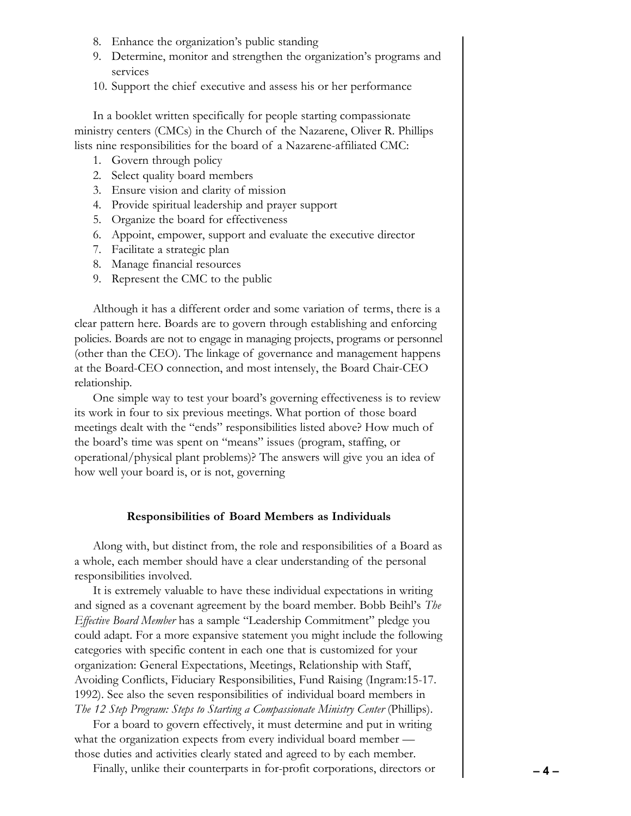- 8. Enhance the organization's public standing
- 9. Determine, monitor and strengthen the organization's programs and services
- 10. Support the chief executive and assess his or her performance

In a booklet written specifically for people starting compassionate ministry centers (CMCs) in the Church of the Nazarene, Oliver R. Phillips lists nine responsibilities for the board of a Nazarene-affiliated CMC:

- 1. Govern through policy
- 2. Select quality board members
- 3. Ensure vision and clarity of mission
- 4. Provide spiritual leadership and prayer support
- 5. Organize the board for effectiveness
- 6. Appoint, empower, support and evaluate the executive director
- 7. Facilitate a strategic plan
- 8. Manage financial resources
- 9. Represent the CMC to the public

Although it has a different order and some variation of terms, there is a clear pattern here. Boards are to govern through establishing and enforcing policies. Boards are not to engage in managing projects, programs or personnel (other than the CEO). The linkage of governance and management happens at the Board-CEO connection, and most intensely, the Board Chair-CEO relationship.

One simple way to test your board's governing effectiveness is to review its work in four to six previous meetings. What portion of those board meetings dealt with the "ends" responsibilities listed above? How much of the board's time was spent on "means" issues (program, staffing, or operational/physical plant problems)? The answers will give you an idea of how well your board is, or is not, governing

#### **Responsibilities of Board Members as Individuals**

Along with, but distinct from, the role and responsibilities of a Board as a whole, each member should have a clear understanding of the personal responsibilities involved.

It is extremely valuable to have these individual expectations in writing and signed as a covenant agreement by the board member. Bobb Beihl's *The Effective Board Member* has a sample "Leadership Commitment" pledge you could adapt. For a more expansive statement you might include the following categories with specific content in each one that is customized for your organization: General Expectations, Meetings, Relationship with Staff, Avoiding Conflicts, Fiduciary Responsibilities, Fund Raising (Ingram:15-17. 1992). See also the seven responsibilities of individual board members in *The 12 Step Program: Steps to Starting a Compassionate Ministry Center* (Phillips).

For a board to govern effectively, it must determine and put in writing what the organization expects from every individual board member those duties and activities clearly stated and agreed to by each member.

Finally, unlike their counterparts in for-profit corporations, directors or **– 4 –**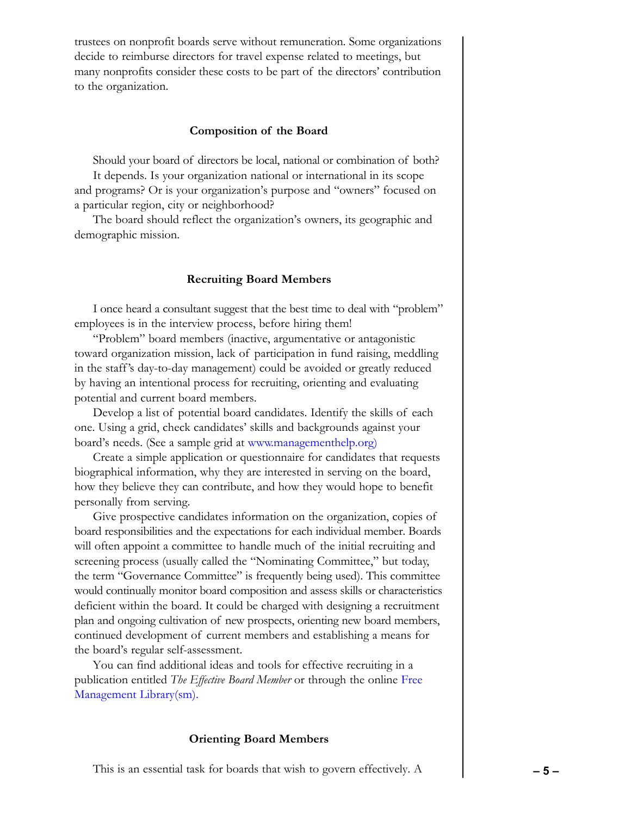trustees on nonprofit boards serve without remuneration. Some organizations decide to reimburse directors for travel expense related to meetings, but many nonprofits consider these costs to be part of the directors' contribution to the organization.

#### **Composition of the Board**

Should your board of directors be local, national or combination of both?

It depends. Is your organization national or international in its scope and programs? Or is your organization's purpose and "owners" focused on a particular region, city or neighborhood?

The board should reflect the organization's owners, its geographic and demographic mission.

#### **Recruiting Board Members**

I once heard a consultant suggest that the best time to deal with "problem" employees is in the interview process, before hiring them!

"Problem" board members (inactive, argumentative or antagonistic toward organization mission, lack of participation in fund raising, meddling in the staff's day-to-day management) could be avoided or greatly reduced by having an intentional process for recruiting, orienting and evaluating potential and current board members.

Develop a list of potential board candidates. Identify the skills of each one. Using a grid, check candidates' skills and backgrounds against your board's needs. (See a sample grid at [www.managementhelp.org\)](www.managementhelp.org)

Create a simple application or questionnaire for candidates that requests biographical information, why they are interested in serving on the board, how they believe they can contribute, and how they would hope to benefit personally from serving.

Give prospective candidates information on the organization, copies of board responsibilities and the expectations for each individual member. Boards will often appoint a committee to handle much of the initial recruiting and screening process (usually called the "Nominating Committee," but today, the term "Governance Committee" is frequently being used). This committee would continually monitor board composition and assess skills or characteristics deficient within the board. It could be charged with designing a recruitment plan and ongoing cultivation of new prospects, orienting new board members, continued development of current members and establishing a means for the board's regular self-assessment.

You can find additional ideas and tools for effective recruiting in a publication entitled *The Effective Board Member* or through the online [Free](www.managementhelp.org) [Management Library\(sm\).](www.managementhelp.org)

#### **Orienting Board Members**

This is an essential task for boards that wish to govern effectively. A **– 5 –**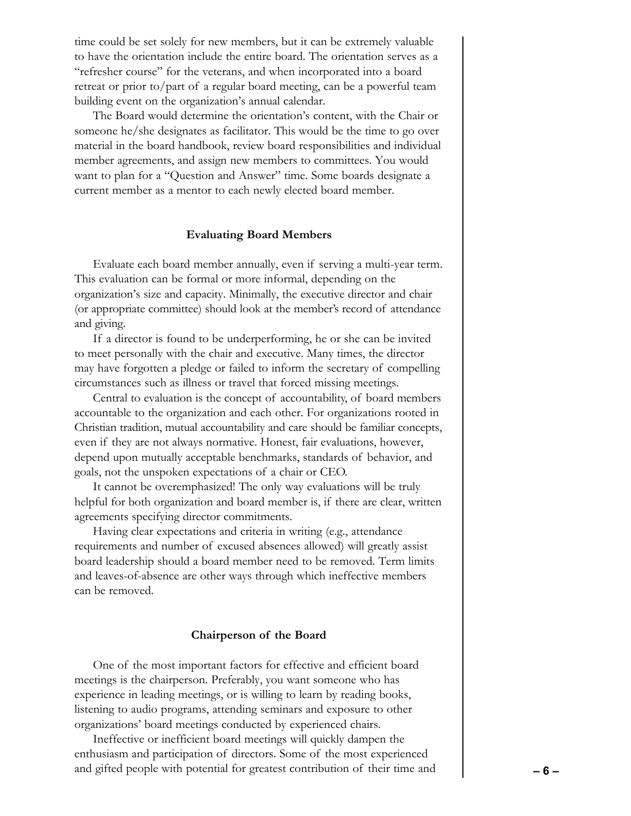time could be set solely for new members, but it can be extremely valuable to have the orientation include the entire board. The orientation serves as a "refresher course" for the veterans, and when incorporated into a board retreat or prior to/part of a regular board meeting, can be a powerful team building event on the organization's annual calendar.

The Board would determine the orientation's content, with the Chair or someone he/she designates as facilitator. This would be the time to go over material in the board handbook, review board responsibilities and individual member agreements, and assign new members to committees. You would want to plan for a "Question and Answer" time. Some boards designate a current member as a mentor to each newly elected board member.

#### **Evaluating Board Members**

Evaluate each board member annually, even if serving a multi-year term. This evaluation can be formal or more informal, depending on the organization's size and capacity. Minimally, the executive director and chair (or appropriate committee) should look at the member's record of attendance and giving.

If a director is found to be underperforming, he or she can be invited to meet personally with the chair and executive. Many times, the director may have forgotten a pledge or failed to inform the secretary of compelling circumstances such as illness or travel that forced missing meetings.

Central to evaluation is the concept of accountability, of board members accountable to the organization and each other. For organizations rooted in Christian tradition, mutual accountability and care should be familiar concepts, even if they are not always normative. Honest, fair evaluations, however, depend upon mutually acceptable benchmarks, standards of behavior, and goals, not the unspoken expectations of a chair or CEO.

It cannot be overemphasized! The only way evaluations will be truly helpful for both organization and board member is, if there are clear, written agreements specifying director commitments.

Having clear expectations and criteria in writing (e.g., attendance requirements and number of excused absences allowed) will greatly assist board leadership should a board member need to be removed. Term limits and leaves-of-absence are other ways through which ineffective members can be removed.

#### **Chairperson of the Board**

One of the most important factors for effective and efficient board meetings is the chairperson. Preferably, you want someone who has experience in leading meetings, or is willing to learn by reading books, listening to audio programs, attending seminars and exposure to other organizations' board meetings conducted by experienced chairs.

Ineffective or inefficient board meetings will quickly dampen the enthusiasm and participation of directors. Some of the most experienced and gifted people with potential for greatest contribution of their time and **– 6 –**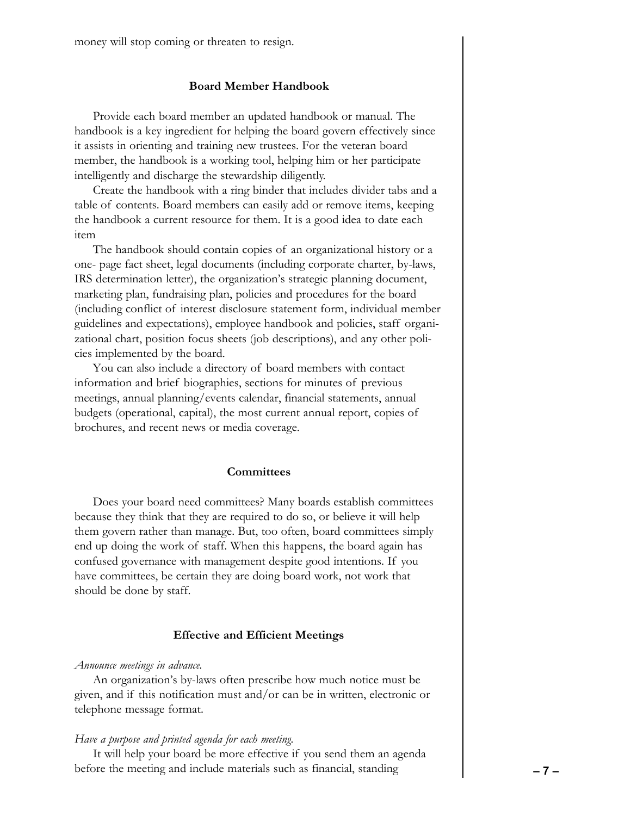money will stop coming or threaten to resign.

## **Board Member Handbook**

Provide each board member an updated handbook or manual. The handbook is a key ingredient for helping the board govern effectively since it assists in orienting and training new trustees. For the veteran board member, the handbook is a working tool, helping him or her participate intelligently and discharge the stewardship diligently.

Create the handbook with a ring binder that includes divider tabs and a table of contents. Board members can easily add or remove items, keeping the handbook a current resource for them. It is a good idea to date each item

The handbook should contain copies of an organizational history or a one- page fact sheet, legal documents (including corporate charter, by-laws, IRS determination letter), the organization's strategic planning document, marketing plan, fundraising plan, policies and procedures for the board (including conflict of interest disclosure statement form, individual member guidelines and expectations), employee handbook and policies, staff organizational chart, position focus sheets (job descriptions), and any other policies implemented by the board.

You can also include a directory of board members with contact information and brief biographies, sections for minutes of previous meetings, annual planning/events calendar, financial statements, annual budgets (operational, capital), the most current annual report, copies of brochures, and recent news or media coverage.

#### **Committees**

Does your board need committees? Many boards establish committees because they think that they are required to do so, or believe it will help them govern rather than manage. But, too often, board committees simply end up doing the work of staff. When this happens, the board again has confused governance with management despite good intentions. If you have committees, be certain they are doing board work, not work that should be done by staff.

#### **Effective and Efficient Meetings**

#### *Announce meetings in advance.*

An organization's by-laws often prescribe how much notice must be given, and if this notification must and/or can be in written, electronic or telephone message format.

#### *Have a purpose and printed agenda for each meeting.*

It will help your board be more effective if you send them an agenda before the meeting and include materials such as financial, standing **– 7 –**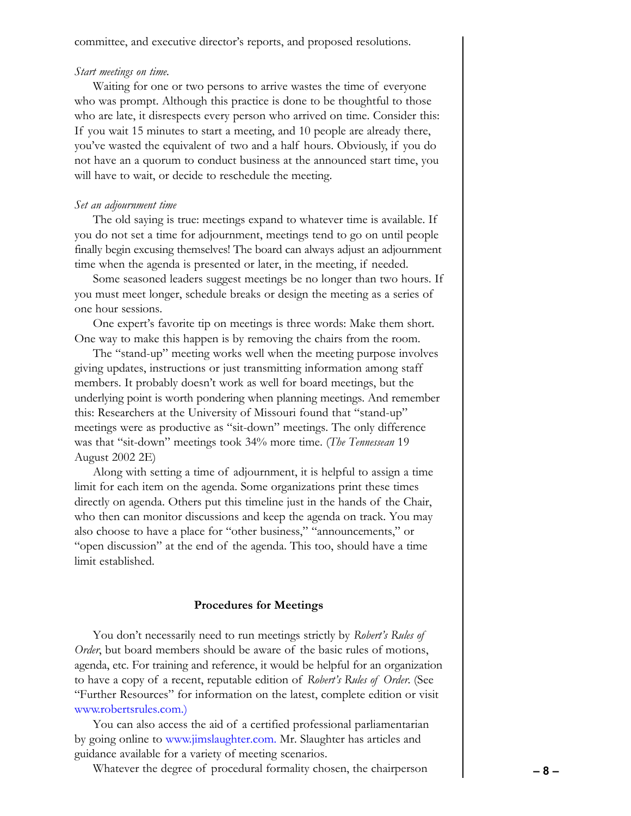committee, and executive director's reports, and proposed resolutions.

#### *Start meetings on time.*

Waiting for one or two persons to arrive wastes the time of everyone who was prompt. Although this practice is done to be thoughtful to those who are late, it disrespects every person who arrived on time. Consider this: If you wait 15 minutes to start a meeting, and 10 people are already there, you've wasted the equivalent of two and a half hours. Obviously, if you do not have an a quorum to conduct business at the announced start time, you will have to wait, or decide to reschedule the meeting.

## *Set an adjournment time*

The old saying is true: meetings expand to whatever time is available. If you do not set a time for adjournment, meetings tend to go on until people finally begin excusing themselves! The board can always adjust an adjournment time when the agenda is presented or later, in the meeting, if needed.

Some seasoned leaders suggest meetings be no longer than two hours. If you must meet longer, schedule breaks or design the meeting as a series of one hour sessions.

One expert's favorite tip on meetings is three words: Make them short. One way to make this happen is by removing the chairs from the room.

The "stand-up" meeting works well when the meeting purpose involves giving updates, instructions or just transmitting information among staff members. It probably doesn't work as well for board meetings, but the underlying point is worth pondering when planning meetings. And remember this: Researchers at the University of Missouri found that "stand-up" meetings were as productive as "sit-down" meetings. The only difference was that "sit-down" meetings took 34% more time. (*The Tennessean* 19 August 2002 2E)

Along with setting a time of adjournment, it is helpful to assign a time limit for each item on the agenda. Some organizations print these times directly on agenda. Others put this timeline just in the hands of the Chair, who then can monitor discussions and keep the agenda on track. You may also choose to have a place for "other business," "announcements," or "open discussion" at the end of the agenda. This too, should have a time limit established.

#### **Procedures for Meetings**

You don't necessarily need to run meetings strictly by *Robert's Rules of Order*, but board members should be aware of the basic rules of motions, agenda, etc. For training and reference, it would be helpful for an organization to have a copy of a recent, reputable edition of *Robert's Rules of Order*. (See "Further Resources" for information on the latest, complete edition or visit [www.robertsrules.com.\)](www.robertsrules.com)

You can also access the aid of a certified professional parliamentarian by going online to [www.jimslaughter.com.](www.jimslaughter.com) Mr. Slaughter has articles and guidance available for a variety of meeting scenarios.

Whatever the degree of procedural formality chosen, the chairperson **– 8 –**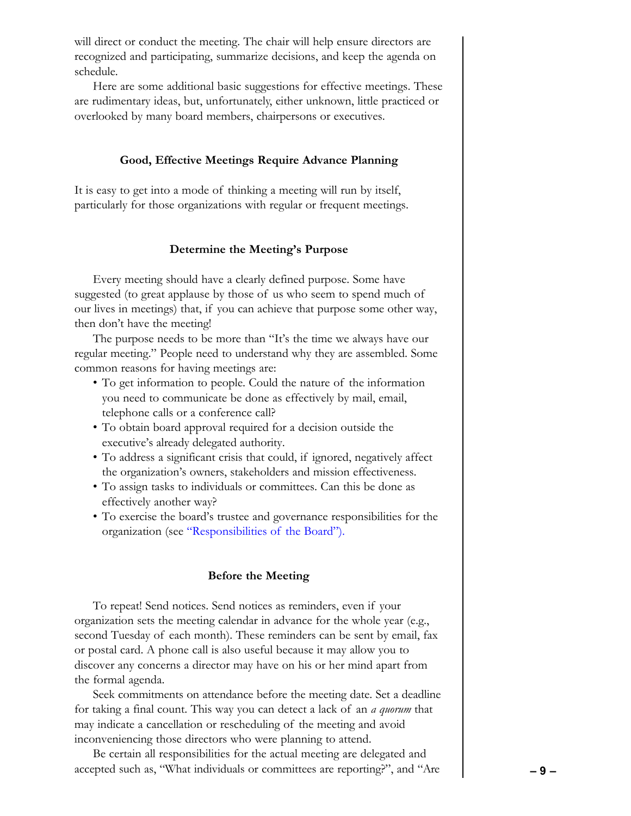will direct or conduct the meeting. The chair will help ensure directors are recognized and participating, summarize decisions, and keep the agenda on schedule.

Here are some additional basic suggestions for effective meetings. These are rudimentary ideas, but, unfortunately, either unknown, little practiced or overlooked by many board members, chairpersons or executives.

#### **Good, Effective Meetings Require Advance Planning**

It is easy to get into a mode of thinking a meeting will run by itself, particularly for those organizations with regular or frequent meetings.

## **Determine the Meeting's Purpose**

Every meeting should have a clearly defined purpose. Some have suggested (to great applause by those of us who seem to spend much of our lives in meetings) that, if you can achieve that purpose some other way, then don't have the meeting!

The purpose needs to be more than "It's the time we always have our regular meeting." People need to understand why they are assembled. Some common reasons for having meetings are:

- To get information to people. Could the nature of the information you need to communicate be done as effectively by mail, email, telephone calls or a conference call?
- To obtain board approval required for a decision outside the executive's already delegated authority.
- To address a significant crisis that could, if ignored, negatively affect the organization's owners, stakeholders and mission effectiveness.
- To assign tasks to individuals or committees. Can this be done as effectively another way?
- To exercise the board's trustee and governance responsibilities for the organization (see ["Responsibilities of the Board"\).](#page-2-0)

#### **Before the Meeting**

To repeat! Send notices. Send notices as reminders, even if your organization sets the meeting calendar in advance for the whole year (e.g., second Tuesday of each month). These reminders can be sent by email, fax or postal card. A phone call is also useful because it may allow you to discover any concerns a director may have on his or her mind apart from the formal agenda.

Seek commitments on attendance before the meeting date. Set a deadline for taking a final count. This way you can detect a lack of an *a quorum* that may indicate a cancellation or rescheduling of the meeting and avoid inconveniencing those directors who were planning to attend.

Be certain all responsibilities for the actual meeting are delegated and accepted such as, "What individuals or committees are reporting?", and "Are **– 9 –**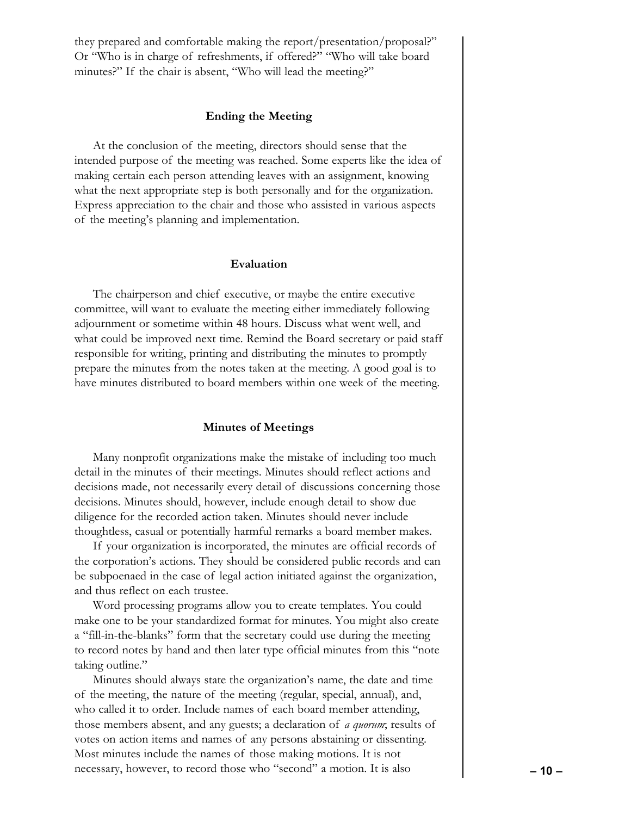they prepared and comfortable making the report/presentation/proposal?" Or "Who is in charge of refreshments, if offered?" "Who will take board minutes?" If the chair is absent, "Who will lead the meeting?"

## **Ending the Meeting**

At the conclusion of the meeting, directors should sense that the intended purpose of the meeting was reached. Some experts like the idea of making certain each person attending leaves with an assignment, knowing what the next appropriate step is both personally and for the organization. Express appreciation to the chair and those who assisted in various aspects of the meeting's planning and implementation.

#### **Evaluation**

The chairperson and chief executive, or maybe the entire executive committee, will want to evaluate the meeting either immediately following adjournment or sometime within 48 hours. Discuss what went well, and what could be improved next time. Remind the Board secretary or paid staff responsible for writing, printing and distributing the minutes to promptly prepare the minutes from the notes taken at the meeting. A good goal is to have minutes distributed to board members within one week of the meeting.

#### **Minutes of Meetings**

Many nonprofit organizations make the mistake of including too much detail in the minutes of their meetings. Minutes should reflect actions and decisions made, not necessarily every detail of discussions concerning those decisions. Minutes should, however, include enough detail to show due diligence for the recorded action taken. Minutes should never include thoughtless, casual or potentially harmful remarks a board member makes.

If your organization is incorporated, the minutes are official records of the corporation's actions. They should be considered public records and can be subpoenaed in the case of legal action initiated against the organization, and thus reflect on each trustee.

Word processing programs allow you to create templates. You could make one to be your standardized format for minutes. You might also create a "fill-in-the-blanks" form that the secretary could use during the meeting to record notes by hand and then later type official minutes from this "note taking outline."

Minutes should always state the organization's name, the date and time of the meeting, the nature of the meeting (regular, special, annual), and, who called it to order. Include names of each board member attending, those members absent, and any guests; a declaration of *a quorum*; results of votes on action items and names of any persons abstaining or dissenting. Most minutes include the names of those making motions. It is not necessary, however, to record those who "second" a motion. It is also **– 10 –**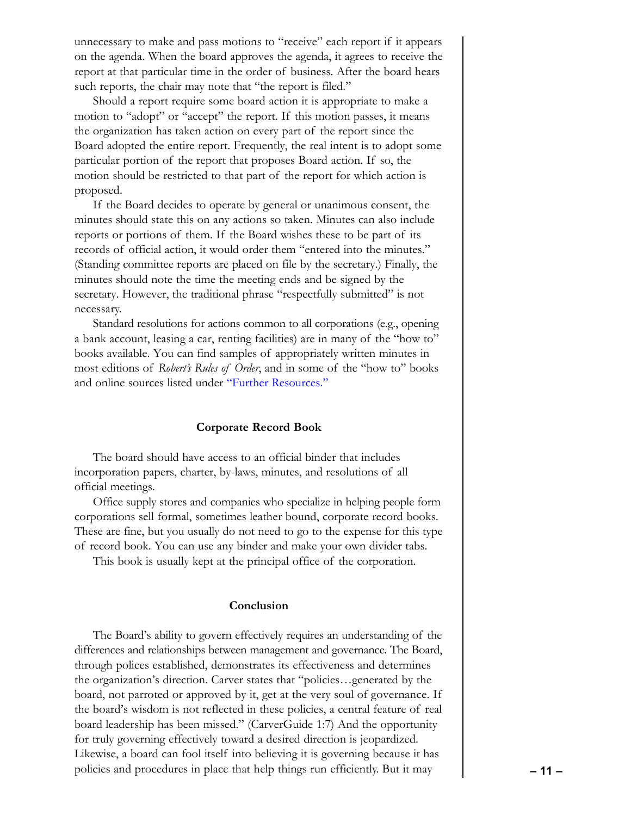unnecessary to make and pass motions to "receive" each report if it appears on the agenda. When the board approves the agenda, it agrees to receive the report at that particular time in the order of business. After the board hears such reports, the chair may note that "the report is filed."

Should a report require some board action it is appropriate to make a motion to "adopt" or "accept" the report. If this motion passes, it means the organization has taken action on every part of the report since the Board adopted the entire report. Frequently, the real intent is to adopt some particular portion of the report that proposes Board action. If so, the motion should be restricted to that part of the report for which action is proposed.

If the Board decides to operate by general or unanimous consent, the minutes should state this on any actions so taken. Minutes can also include reports or portions of them. If the Board wishes these to be part of its records of official action, it would order them "entered into the minutes." (Standing committee reports are placed on file by the secretary.) Finally, the minutes should note the time the meeting ends and be signed by the secretary. However, the traditional phrase "respectfully submitted" is not necessary.

Standard resolutions for actions common to all corporations (e.g., opening a bank account, leasing a car, renting facilities) are in many of the "how to" books available. You can find samples of appropriately written minutes in most editions of *Robert's Rules of Order*, and in some of the "how to" books and online sources listed under ["Further Resources."](#page-11-0)

## **Corporate Record Book**

The board should have access to an official binder that includes incorporation papers, charter, by-laws, minutes, and resolutions of all official meetings.

Office supply stores and companies who specialize in helping people form corporations sell formal, sometimes leather bound, corporate record books. These are fine, but you usually do not need to go to the expense for this type of record book. You can use any binder and make your own divider tabs.

This book is usually kept at the principal office of the corporation.

#### **Conclusion**

The Board's ability to govern effectively requires an understanding of the differences and relationships between management and governance. The Board, through polices established, demonstrates its effectiveness and determines the organization's direction. Carver states that "policies…generated by the board, not parroted or approved by it, get at the very soul of governance. If the board's wisdom is not reflected in these policies, a central feature of real board leadership has been missed." (CarverGuide 1:7) And the opportunity for truly governing effectively toward a desired direction is jeopardized. Likewise, a board can fool itself into believing it is governing because it has policies and procedures in place that help things run efficiently. But it may **– 11 –**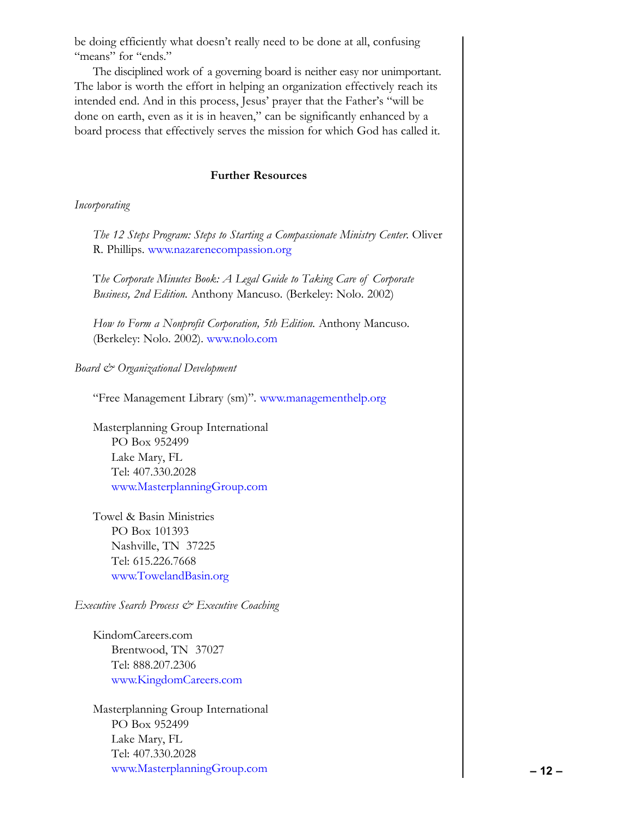<span id="page-11-0"></span>be doing efficiently what doesn't really need to be done at all, confusing "means" for "ends."

The disciplined work of a governing board is neither easy nor unimportant. The labor is worth the effort in helping an organization effectively reach its intended end. And in this process, Jesus' prayer that the Father's "will be done on earth, even as it is in heaven," can be significantly enhanced by a board process that effectively serves the mission for which God has called it.

# **Further Resources**

# *Incorporating*

*The 12 Steps Program: Steps to Starting a Compassionate Ministry Center.* Oliver R. Phillips.<www.nazarenecompassion.org>

T*he Corporate Minutes Book: A Legal Guide to Taking Care of Corporate Business, 2nd Edition.* Anthony Mancuso. (Berkeley: Nolo. 2002)

*How to Form a Nonprofit Corporation, 5th Edition.* Anthony Mancuso. (Berkeley: Nolo. 2002).<www.nolo.com>

# *Board & Organizational Development*

"Free Management Library (sm)".<www.managementhelp.org>

Masterplanning Group International PO Box 952499 Lake Mary, FL Tel: 407.330.2028 <www.MasterplanningGroup.com>

Towel & Basin Ministries PO Box 101393 Nashville, TN 37225 Tel: 615.226.7668 <www.TowelandBasin.org>

# *Executive Search Process & Executive Coaching*

KindomCareers.com Brentwood, TN 37027 Tel: 888.207.2306 <www.KingdomCareers.com>

Masterplanning Group International PO Box 952499 Lake Mary, FL Tel: 407.330.2028 <www.MasterplanningGroup.com> **– 12 –**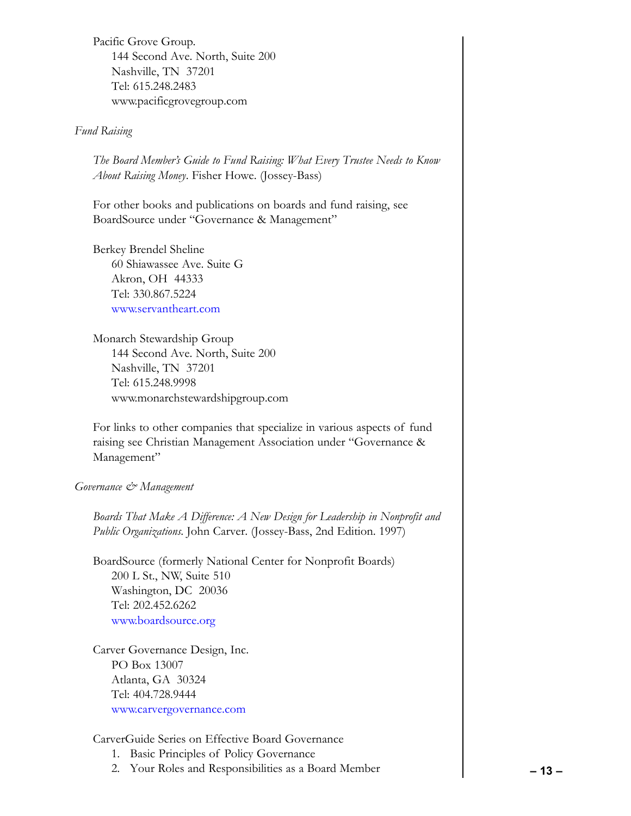Pacific Grove Group. 144 Second Ave. North, Suite 200 Nashville, TN 37201 Tel: 615.248.2483 www.pacificgrovegroup.com

# *Fund Raising*

*The Board Member's Guide to Fund Raising: What Every Trustee Needs to Know About Raising Money*. Fisher Howe. (Jossey-Bass)

For other books and publications on boards and fund raising, see BoardSource under "Governance & Management"

Berkey Brendel Sheline 60 Shiawassee Ave. Suite G Akron, OH 44333 Tel: 330.867.5224 <www.servantheart.com>

Monarch Stewardship Group 144 Second Ave. North, Suite 200 Nashville, TN 37201 Tel: 615.248.9998 www.monarchstewardshipgroup.com

For links to other companies that specialize in various aspects of fund raising see Christian Management Association under "Governance & Management"

# *Governance & Management*

*Boards That Make A Difference: A New Design for Leadership in Nonprofit and Public Organizations*. John Carver. (Jossey-Bass, 2nd Edition. 1997)

BoardSource (formerly National Center for Nonprofit Boards) 200 L St., NW, Suite 510 Washington, DC 20036 Tel: 202.452.6262 <www.boardsource.org>

Carver Governance Design, Inc. PO Box 13007 Atlanta, GA 30324 Tel: 404.728.9444 <www.carvergovernance.com>

# CarverGuide Series on Effective Board Governance

- 1. Basic Principles of Policy Governance
- 2. Your Roles and Responsibilities as a Board Member  **13 –**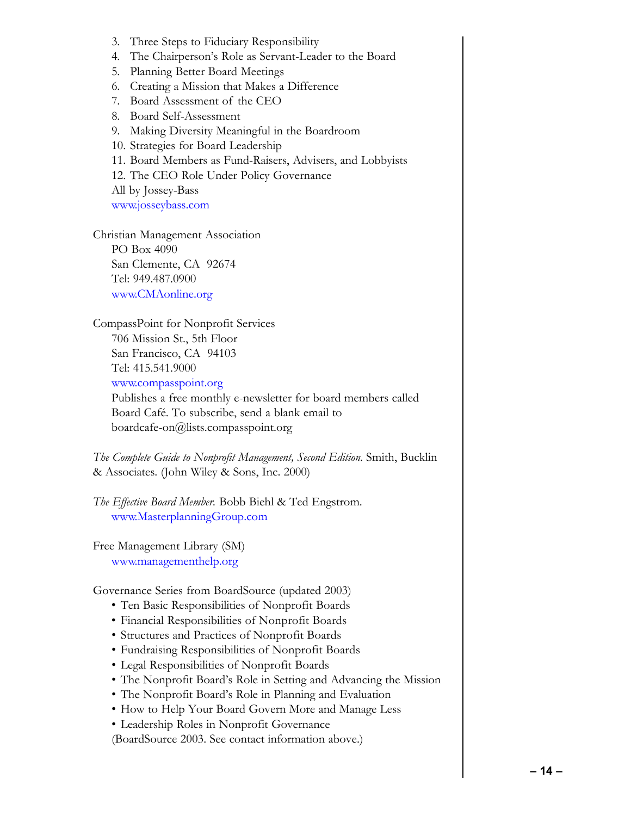- 3. Three Steps to Fiduciary Responsibility
- 4. The Chairperson's Role as Servant-Leader to the Board
- 5. Planning Better Board Meetings
- 6. Creating a Mission that Makes a Difference
- 7. Board Assessment of the CEO
- 8. Board Self-Assessment
- 9. Making Diversity Meaningful in the Boardroom
- 10. Strategies for Board Leadership
- 11. Board Members as Fund-Raisers, Advisers, and Lobbyists
- 12. The CEO Role Under Policy Governance

All by Jossey-Bass

<www.josseybass.com>

Christian Management Association PO Box 4090 San Clemente, CA 92674 Tel: 949.487.0900 <www.CMAonline.org>

CompassPoint for Nonprofit Services 706 Mission St., 5th Floor San Francisco, CA 94103 Tel: 415.541.9000

<www.compasspoint.org>

Publishes a free monthly e-newsletter for board members called Board Café. To subscribe, send a blank email to boardcafe-on@lists.compasspoint.org

*The Complete Guide to Nonprofit Management, Second Edition.* Smith, Bucklin & Associates. (John Wiley & Sons, Inc. 2000)

*The Effective Board Member.* Bobb Biehl & Ted Engstrom. <www.MasterplanningGroup.com>

Free Management Library (SM) <www.managementhelp.org>

Governance Series from BoardSource (updated 2003)

- Ten Basic Responsibilities of Nonprofit Boards
- Financial Responsibilities of Nonprofit Boards
- Structures and Practices of Nonprofit Boards
- Fundraising Responsibilities of Nonprofit Boards
- Legal Responsibilities of Nonprofit Boards
- The Nonprofit Board's Role in Setting and Advancing the Mission
- The Nonprofit Board's Role in Planning and Evaluation
- How to Help Your Board Govern More and Manage Less
- Leadership Roles in Nonprofit Governance

(BoardSource 2003. See contact information above.)